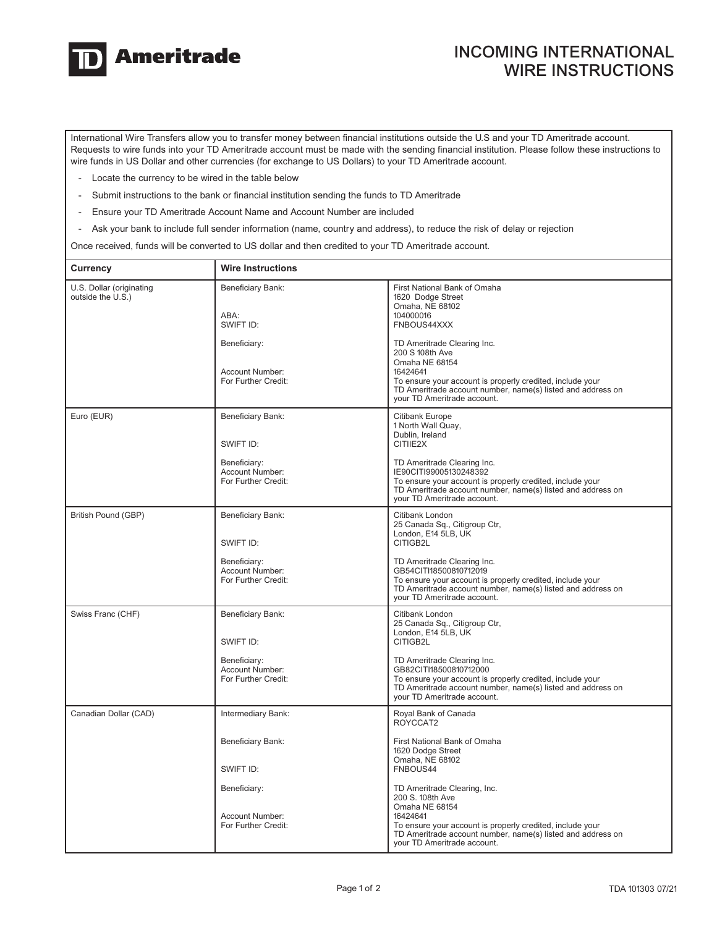

## INCOMING INTERNATIONAL WIRE INSTRUCTIONS

International Wire Transfers allow you to transfer money between financial institutions outside the U.S and your TD Ameritrade account. Requests to wire funds into your TD Ameritrade account must be made with the sending financial institution. Please follow these instructions to wire funds in US Dollar and other currencies (for exchange to US Dollars) to your TD Ameritrade account.

- Locate the currency to be wired in the table below
- Submit instructions to the bank or financial institution sending the funds to TD Ameritrade
- Ensure your TD Ameritrade Account Name and Account Number are included
- Ask your bank to include full sender information (name, country and address), to reduce the risk of delay or rejection

Once received, funds will be converted to US dollar and then credited to your TD Ameritrade account.

| <b>Currency</b>                               | <b>Wire Instructions</b>                               |                                                                                                                                                                                                                                           |
|-----------------------------------------------|--------------------------------------------------------|-------------------------------------------------------------------------------------------------------------------------------------------------------------------------------------------------------------------------------------------|
| U.S. Dollar (originating<br>outside the U.S.) | Beneficiary Bank:<br>ABA:<br>SWIFT ID:                 | First National Bank of Omaha<br>1620 Dodge Street<br>Omaha, NE 68102<br>104000016<br>FNBOUS44XXX                                                                                                                                          |
|                                               | Beneficiary:<br>Account Number:<br>For Further Credit: | TD Ameritrade Clearing Inc.<br>200 S 108th Ave<br>Omaha NE 68154<br>16424641<br>To ensure your account is properly credited, include your<br>TD Ameritrade account number, name(s) listed and address on<br>your TD Ameritrade account.   |
| Euro (EUR)                                    | Beneficiary Bank:<br>SWIFT ID:                         | Citibank Europe<br>1 North Wall Quay,<br>Dublin, Ireland<br>CITIIE2X                                                                                                                                                                      |
|                                               | Beneficiary:<br>Account Number:<br>For Further Credit: | TD Ameritrade Clearing Inc.<br>IE90CITI99005130248392<br>To ensure your account is properly credited, include your<br>TD Ameritrade account number, name(s) listed and address on<br>your TD Ameritrade account.                          |
| British Pound (GBP)                           | Beneficiary Bank:<br>SWIFT ID:                         | Citibank London<br>25 Canada Sq., Citigroup Ctr,<br>London, E14 5LB, UK<br>CITIGB2L                                                                                                                                                       |
|                                               | Beneficiary:<br>Account Number:<br>For Further Credit: | TD Ameritrade Clearing Inc.<br>GB54CITI18500810712019<br>To ensure your account is properly credited, include your<br>TD Ameritrade account number, name(s) listed and address on<br>your TD Ameritrade account.                          |
| Swiss Franc (CHF)                             | Beneficiary Bank:<br>SWIFT ID:                         | Citibank London<br>25 Canada Sq., Citigroup Ctr,<br>London, E14 5LB, UK<br>CITIGB2L                                                                                                                                                       |
|                                               | Beneficiary:<br>Account Number:<br>For Further Credit: | TD Ameritrade Clearing Inc.<br>GB82CITI18500810712000<br>To ensure your account is properly credited, include your<br>TD Ameritrade account number, name(s) listed and address on<br>your TD Ameritrade account.                          |
| Canadian Dollar (CAD)                         | Intermediary Bank:                                     | Royal Bank of Canada<br>ROYCCAT2                                                                                                                                                                                                          |
|                                               | Beneficiary Bank:<br>SWIFT ID:                         | First National Bank of Omaha<br>1620 Dodge Street<br>Omaha, NE 68102<br>FNBOUS44                                                                                                                                                          |
|                                               | Beneficiary:<br>Account Number:<br>For Further Credit: | TD Ameritrade Clearing, Inc.<br>200 S. 108th Ave<br>Omaha NE 68154<br>16424641<br>To ensure your account is properly credited, include your<br>TD Ameritrade account number, name(s) listed and address on<br>your TD Ameritrade account. |